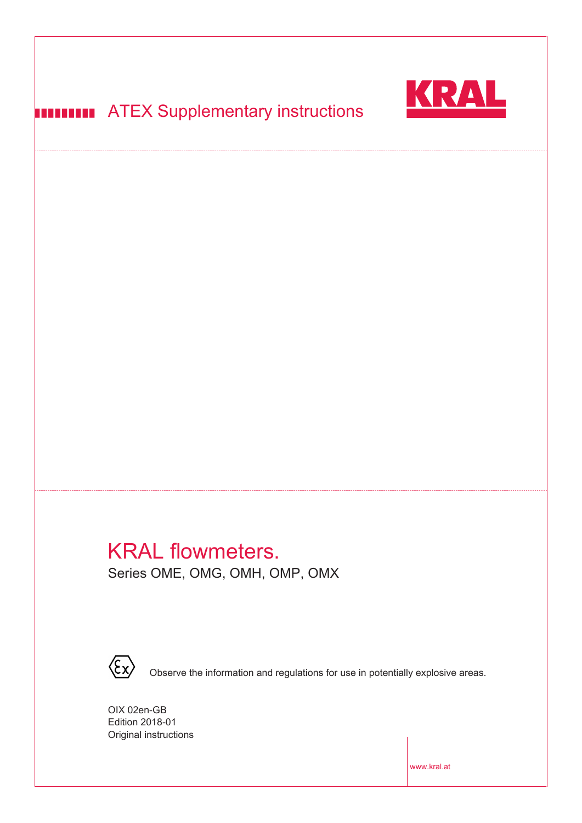

# **HITTITII ATEX Supplementary instructions**

# KRAL flowmeters.  $\begin{array}{c}\n\sqrt{D} \Delta \mathbf{I} & \mathbf{f}_{\mathbf{Q}(\mathbf{X},\mathbf{Y})}\n\end{array}$ **EXIMAL HUWHIT**

Series OME, OMG, OMH, OMP, OMX



 $\hbox{\texttt{Observe}}$  the information and regulations for use in potentially explosive areas.

6LFKHUKHLWVKLQZHLVHIU3HUVRQHQPLW+HU]VFKULWWPDFKHUQEHDFKWHQ

- Original instructions OIX 02en-GB Edition 2018-01

www.kral.at

 $\mathbb{R}$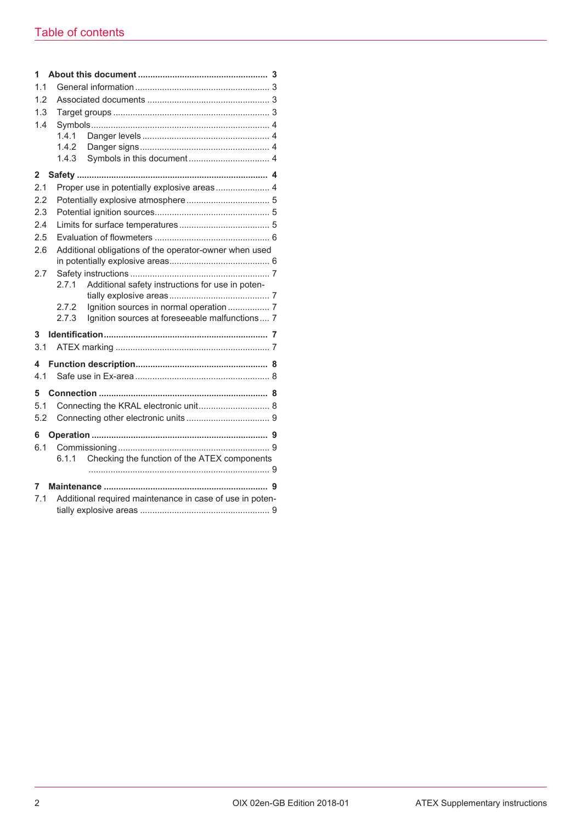| 1            |                                                          |                                                        |  |  |
|--------------|----------------------------------------------------------|--------------------------------------------------------|--|--|
| 1.1          |                                                          |                                                        |  |  |
| 1.2          |                                                          |                                                        |  |  |
| 1.3          |                                                          |                                                        |  |  |
| 1.4          |                                                          |                                                        |  |  |
|              | 1.4.1                                                    |                                                        |  |  |
|              | 1.4.2                                                    |                                                        |  |  |
|              | 1.4.3                                                    |                                                        |  |  |
| $\mathbf{2}$ |                                                          |                                                        |  |  |
| 2.1          |                                                          | Proper use in potentially explosive areas 4            |  |  |
| 2.2          |                                                          |                                                        |  |  |
| 2.3          |                                                          |                                                        |  |  |
| 2.4          |                                                          |                                                        |  |  |
| 2.5          |                                                          |                                                        |  |  |
| 2.6          |                                                          | Additional obligations of the operator-owner when used |  |  |
|              |                                                          |                                                        |  |  |
| 2.7          |                                                          |                                                        |  |  |
|              | 2.7.1                                                    | Additional safety instructions for use in poten-       |  |  |
|              |                                                          |                                                        |  |  |
|              | 2.7.2<br>2.7.3                                           | Ignition sources in normal operation  7                |  |  |
|              |                                                          | Ignition sources at foreseeable malfunctions 7         |  |  |
| 3            |                                                          |                                                        |  |  |
| 3.1          |                                                          |                                                        |  |  |
| 4            |                                                          |                                                        |  |  |
| 4.1          |                                                          |                                                        |  |  |
| 5            |                                                          |                                                        |  |  |
| 5.1          |                                                          |                                                        |  |  |
| 5.2          | Connecting the KRAL electronic unit 8                    |                                                        |  |  |
|              |                                                          |                                                        |  |  |
| 6            |                                                          |                                                        |  |  |
| 6.1          |                                                          |                                                        |  |  |
|              | 6.1.1                                                    | Checking the function of the ATEX components           |  |  |
|              |                                                          |                                                        |  |  |
| 7            |                                                          |                                                        |  |  |
| 7.1          | Additional required maintenance in case of use in poten- |                                                        |  |  |
|              |                                                          |                                                        |  |  |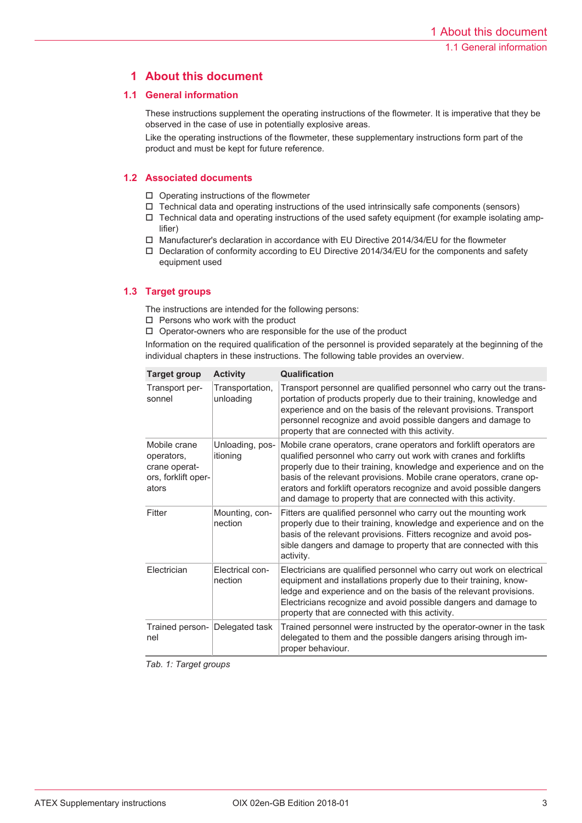# **1 About this document**

# **1.1 General information**

These instructions supplement the operating instructions of the flowmeter. It is imperative that they be observed in the case of use in potentially explosive areas.

Like the operating instructions of the flowmeter, these supplementary instructions form part of the product and must be kept for future reference.

# **1.2 Associated documents**

- $\Box$  Operating instructions of the flowmeter
- $\Box$  Technical data and operating instructions of the used intrinsically safe components (sensors)
- $\Box$  Technical data and operating instructions of the used safety equipment (for example isolating amplifier)
- $\square$  Manufacturer's declaration in accordance with EU Directive 2014/34/EU for the flowmeter
- $\Box$  Declaration of conformity according to EU Directive 2014/34/EU for the components and safety equipment used

# **1.3 Target groups**

The instructions are intended for the following persons:

- $\square$  Persons who work with the product
- $\Box$  Operator-owners who are responsible for the use of the product

Information on the required qualification of the personnel is provided separately at the beginning of the individual chapters in these instructions. The following table provides an overview.

| <b>Target group</b>                                                         | <b>Activity</b>              | <b>Qualification</b>                                                                                                                                                                                                                                                                                                                                                                                                         |
|-----------------------------------------------------------------------------|------------------------------|------------------------------------------------------------------------------------------------------------------------------------------------------------------------------------------------------------------------------------------------------------------------------------------------------------------------------------------------------------------------------------------------------------------------------|
| Transport per-<br>sonnel                                                    | Transportation,<br>unloading | Transport personnel are qualified personnel who carry out the trans-<br>portation of products properly due to their training, knowledge and<br>experience and on the basis of the relevant provisions. Transport<br>personnel recognize and avoid possible dangers and damage to<br>property that are connected with this activity.                                                                                          |
| Mobile crane<br>operators,<br>crane operat-<br>ors, forklift oper-<br>ators | Unloading, pos-<br>itioning  | Mobile crane operators, crane operators and forklift operators are<br>qualified personnel who carry out work with cranes and forklifts<br>properly due to their training, knowledge and experience and on the<br>basis of the relevant provisions. Mobile crane operators, crane op-<br>erators and forklift operators recognize and avoid possible dangers<br>and damage to property that are connected with this activity. |
| Fitter                                                                      | Mounting, con-<br>nection    | Fitters are qualified personnel who carry out the mounting work<br>properly due to their training, knowledge and experience and on the<br>basis of the relevant provisions. Fitters recognize and avoid pos-<br>sible dangers and damage to property that are connected with this<br>activity.                                                                                                                               |
| Electrician                                                                 | Electrical con-<br>nection   | Electricians are qualified personnel who carry out work on electrical<br>equipment and installations properly due to their training, know-<br>ledge and experience and on the basis of the relevant provisions.<br>Electricians recognize and avoid possible dangers and damage to<br>property that are connected with this activity.                                                                                        |
| Trained person- Delegated task<br>nel                                       |                              | Trained personnel were instructed by the operator-owner in the task<br>delegated to them and the possible dangers arising through im-<br>proper behaviour.                                                                                                                                                                                                                                                                   |

*Tab. 1: Target groups*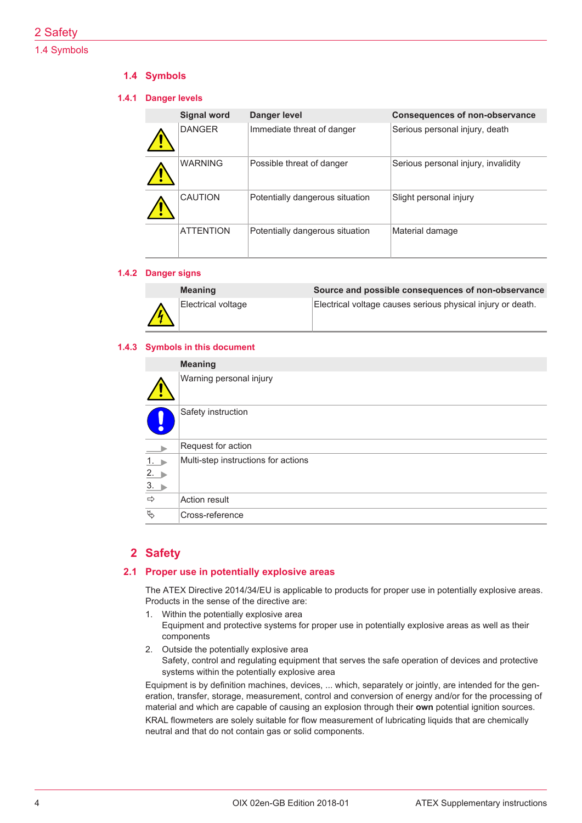# 2 Safety

# 1.4 Symbols

# **1.4 Symbols**

### **1.4.1 Danger levels**

| <b>Signal word</b> | Danger level                    | <b>Consequences of non-observance</b> |
|--------------------|---------------------------------|---------------------------------------|
| <b>DANGER</b>      | Immediate threat of danger      | Serious personal injury, death        |
| <b>WARNING</b>     | Possible threat of danger       | Serious personal injury, invalidity   |
| <b>CAUTION</b>     | Potentially dangerous situation | Slight personal injury                |
| <b>ATTENTION</b>   | Potentially dangerous situation | Material damage                       |

### **1.4.2 Danger signs**

| <b>Meaning</b>     | Source and possible consequences of non-observance          |
|--------------------|-------------------------------------------------------------|
| Electrical voltage | Electrical voltage causes serious physical injury or death. |

#### **1.4.3 Symbols in this document**

|                                | <b>Meaning</b>                      |
|--------------------------------|-------------------------------------|
|                                | Warning personal injury             |
| $\bullet$                      | Safety instruction                  |
| $\rightarrow$                  | Request for action                  |
| $\frac{1}{2}$<br>$\frac{2}{3}$ | Multi-step instructions for actions |
|                                |                                     |
|                                |                                     |
| $\Rightarrow$                  | <b>Action result</b>                |
| $\mathfrak{P}$                 | Cross-reference                     |

# **2 Safety**

### **2.1 Proper use in potentially explosive areas**

The ATEX Directive 2014/34/EU is applicable to products for proper use in potentially explosive areas. Products in the sense of the directive are:

- 1. Within the potentially explosive area
	- Equipment and protective systems for proper use in potentially explosive areas as well as their components
- 2. Outside the potentially explosive area Safety, control and regulating equipment that serves the safe operation of devices and protective systems within the potentially explosive area

Equipment is by definition machines, devices, ... which, separately or jointly, are intended for the generation, transfer, storage, measurement, control and conversion of energy and/or for the processing of material and which are capable of causing an explosion through their **own** potential ignition sources. KRAL flowmeters are solely suitable for flow measurement of lubricating liquids that are chemically neutral and that do not contain gas or solid components.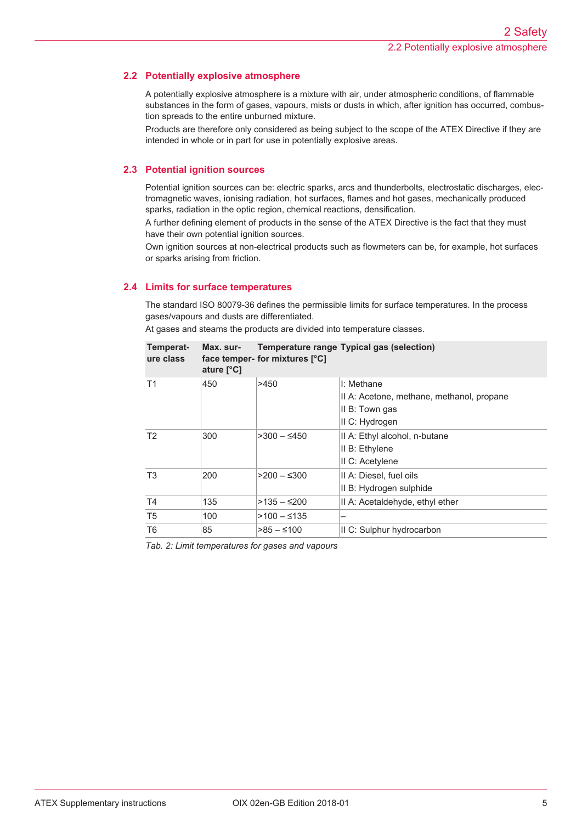# **2.2 Potentially explosive atmosphere**

A potentially explosive atmosphere is a mixture with air, under atmospheric conditions, of flammable substances in the form of gases, vapours, mists or dusts in which, after ignition has occurred, combustion spreads to the entire unburned mixture.

Products are therefore only considered as being subject to the scope of the ATEX Directive if they are intended in whole or in part for use in potentially explosive areas.

# **2.3 Potential ignition sources**

Potential ignition sources can be: electric sparks, arcs and thunderbolts, electrostatic discharges, electromagnetic waves, ionising radiation, hot surfaces, flames and hot gases, mechanically produced sparks, radiation in the optic region, chemical reactions, densification.

A further defining element of products in the sense of the ATEX Directive is the fact that they must have their own potential ignition sources.

Own ignition sources at non-electrical products such as flowmeters can be, for example, hot surfaces or sparks arising from friction.

# **2.4 Limits for surface temperatures**

The standard ISO 80079-36 defines the permissible limits for surface temperatures. In the process gases/vapours and dusts are differentiated.

At gases and steams the products are divided into temperature classes.

| Temperat-<br>ure class | Max. sur-<br>ature $[^{\circ}C]$ | face temper- for mixtures [°C] | <b>Temperature range Typical gas (selection)</b>                                            |
|------------------------|----------------------------------|--------------------------------|---------------------------------------------------------------------------------------------|
| T1                     | 450                              | >450                           | I: Methane<br>Il A: Acetone, methane, methanol, propane<br>II B: Town gas<br>II C: Hydrogen |
| T <sub>2</sub>         | 300                              | $>300 - 5450$                  | II A: Ethyl alcohol, n-butane<br>II B: Ethylene<br>II C: Acetylene                          |
| T <sub>3</sub>         | 200                              | $>200 - 5300$                  | II A: Diesel, fuel oils<br>II B: Hydrogen sulphide                                          |
| T <sub>4</sub>         | 135                              | $>135 - 200$                   | II A: Acetaldehyde, ethyl ether                                                             |
| T <sub>5</sub>         | 100                              | $>100$ – ≤135                  |                                                                                             |
| T <sub>6</sub>         | 85                               | $>85 - 100$                    | II C: Sulphur hydrocarbon                                                                   |

*Tab. 2: Limit temperatures for gases and vapours*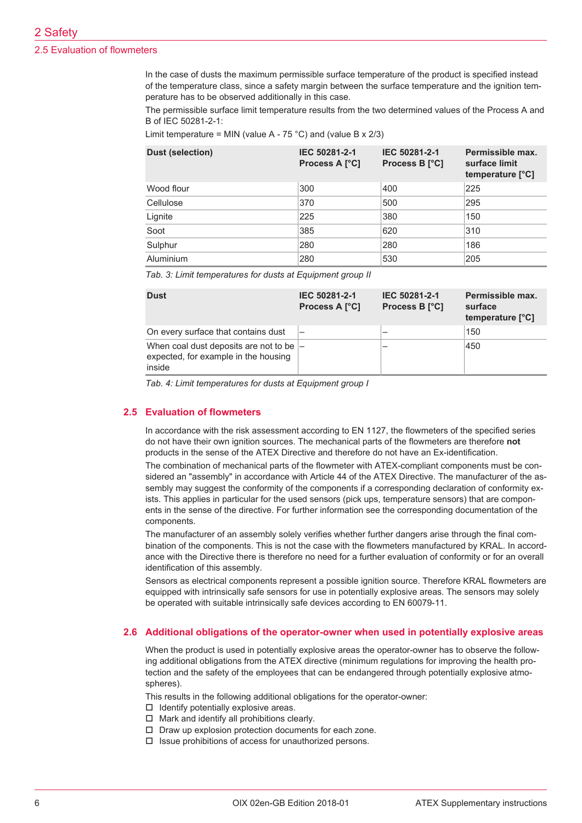# 2 Safety

#### 2.5 Evaluation of flowmeters

In the case of dusts the maximum permissible surface temperature of the product is specified instead of the temperature class, since a safety margin between the surface temperature and the ignition temperature has to be observed additionally in this case.

The permissible surface limit temperature results from the two determined values of the Process A and B of IEC 50281-2-1:

Limit temperature = MIN (value A - 75 °C) and (value B  $\times$  2/3)

| <b>Dust (selection)</b> | IEC 50281-2-1<br><b>Process A [°C]</b> | IEC 50281-2-1<br>Process B [°C] | Permissible max.<br>surface limit<br>temperature [°C] |
|-------------------------|----------------------------------------|---------------------------------|-------------------------------------------------------|
| Wood flour              | 300                                    | 400                             | 225                                                   |
| Cellulose               | 370                                    | 500                             | 295                                                   |
| Lignite                 | 225                                    | 380                             | 150                                                   |
| Soot                    | 385                                    | 620                             | 310                                                   |
| Sulphur                 | 280                                    | 280                             | 186                                                   |
| Aluminium               | 280                                    | 530                             | 205                                                   |

*Tab. 3: Limit temperatures for dusts at Equipment group II*

| <b>Dust</b>                                                                                  | IEC 50281-2-1<br><b>Process A [°C]</b> | IEC 50281-2-1<br><b>Process B [°C]</b> | Permissible max.<br>surface<br>temperature [°C] |
|----------------------------------------------------------------------------------------------|----------------------------------------|----------------------------------------|-------------------------------------------------|
| On every surface that contains dust                                                          |                                        |                                        | 150                                             |
| When coal dust deposits are not to be $ -$<br>expected, for example in the housing<br>inside |                                        |                                        | 450                                             |

*Tab. 4: Limit temperatures for dusts at Equipment group I*

#### **2.5 Evaluation of flowmeters**

In accordance with the risk assessment according to EN 1127, the flowmeters of the specified series do not have their own ignition sources. The mechanical parts of the flowmeters are therefore **not** products in the sense of the ATEX Directive and therefore do not have an Ex-identification.

The combination of mechanical parts of the flowmeter with ATEX-compliant components must be considered an "assembly" in accordance with Article 44 of the ATEX Directive. The manufacturer of the assembly may suggest the conformity of the components if a corresponding declaration of conformity exists. This applies in particular for the used sensors (pick ups, temperature sensors) that are components in the sense of the directive. For further information see the corresponding documentation of the components.

The manufacturer of an assembly solely verifies whether further dangers arise through the final combination of the components. This is not the case with the flowmeters manufactured by KRAL. In accordance with the Directive there is therefore no need for a further evaluation of conformity or for an overall identification of this assembly.

Sensors as electrical components represent a possible ignition source. Therefore KRAL flowmeters are equipped with intrinsically safe sensors for use in potentially explosive areas. The sensors may solely be operated with suitable intrinsically safe devices according to EN 60079-11.

#### **2.6 Additional obligations of the operator-owner when used in potentially explosive areas**

When the product is used in potentially explosive areas the operator-owner has to observe the following additional obligations from the ATEX directive (minimum regulations for improving the health protection and the safety of the employees that can be endangered through potentially explosive atmospheres).

This results in the following additional obligations for the operator-owner:

- $\Box$  Identify potentially explosive areas.
- $\Box$  Mark and identify all prohibitions clearly.
- $\Box$  Draw up explosion protection documents for each zone.
- $\square$  Issue prohibitions of access for unauthorized persons.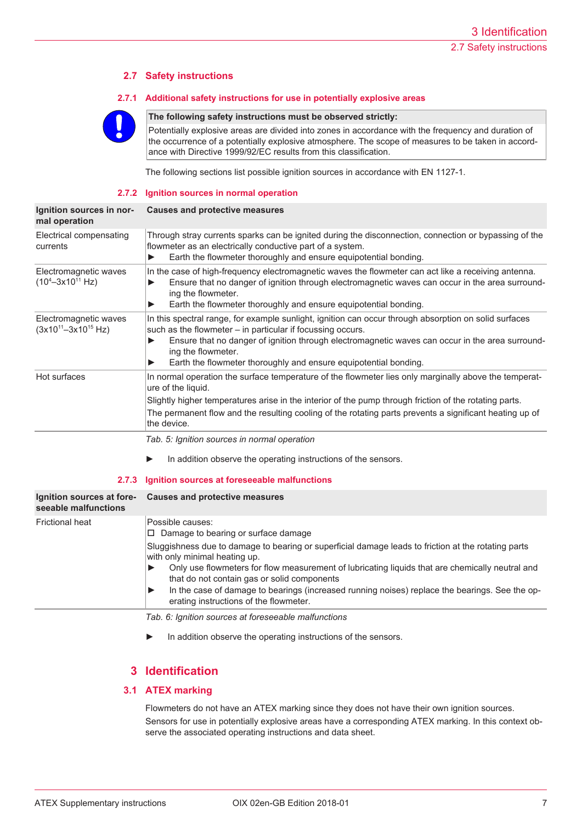# **2.7 Safety instructions**

#### **2.7.1 Additional safety instructions for use in potentially explosive areas**



#### **The following safety instructions must be observed strictly:**

Potentially explosive areas are divided into zones in accordance with the frequency and duration of the occurrence of a potentially explosive atmosphere. The scope of measures to be taken in accordance with Directive 1999/92/EC results from this classification.

The following sections list possible ignition sources in accordance with EN 1127-1.

#### **2.7.2 Ignition sources in normal operation**

| Ignition sources in nor-<br>mal operation             | <b>Causes and protective measures</b>                                                                                                                                                                                                                                                                                                                            |  |
|-------------------------------------------------------|------------------------------------------------------------------------------------------------------------------------------------------------------------------------------------------------------------------------------------------------------------------------------------------------------------------------------------------------------------------|--|
| Electrical compensating<br>currents                   | Through stray currents sparks can be ignited during the disconnection, connection or bypassing of the<br>flowmeter as an electrically conductive part of a system.<br>Earth the flowmeter thoroughly and ensure equipotential bonding.                                                                                                                           |  |
| Electromagnetic waves<br>$(10^4 - 3x10^{11}$ Hz)      | In the case of high-frequency electromagnetic waves the flowmeter can act like a receiving antenna.<br>Ensure that no danger of ignition through electromagnetic waves can occur in the area surround-<br>ing the flowmeter.<br>Earth the flowmeter thoroughly and ensure equipotential bonding.                                                                 |  |
| Electromagnetic waves<br>$(3x10^{11} - 3x10^{15} Hz)$ | In this spectral range, for example sunlight, ignition can occur through absorption on solid surfaces<br>such as the flowmeter – in particular if focussing occurs.<br>Ensure that no danger of ignition through electromagnetic waves can occur in the area surround-<br>ing the flowmeter.<br>Earth the flowmeter thoroughly and ensure equipotential bonding. |  |
| Hot surfaces                                          | In normal operation the surface temperature of the flowmeter lies only marginally above the temperat-<br>ure of the liquid.<br>Slightly higher temperatures arise in the interior of the pump through friction of the rotating parts.<br>The permanent flow and the resulting cooling of the rotating parts prevents a significant heating up of<br>the device.  |  |
|                                                       | Tab. 5: Ignition sources in normal operation                                                                                                                                                                                                                                                                                                                     |  |

► In addition observe the operating instructions of the sensors.

#### **2.7.3 Ignition sources at foreseeable malfunctions**

| Ignition sources at fore-<br>seeable malfunctions | Causes and protective measures                                                                                                                                                                                                                                                                                                                                                                                                                                                                            |
|---------------------------------------------------|-----------------------------------------------------------------------------------------------------------------------------------------------------------------------------------------------------------------------------------------------------------------------------------------------------------------------------------------------------------------------------------------------------------------------------------------------------------------------------------------------------------|
| <b>Frictional heat</b>                            | Possible causes:<br>$\Box$ Damage to bearing or surface damage<br>Sluggishness due to damage to bearing or superficial damage leads to friction at the rotating parts<br>with only minimal heating up.<br>Only use flowmeters for flow measurement of lubricating liquids that are chemically neutral and<br>that do not contain gas or solid components<br>In the case of damage to bearings (increased running noises) replace the bearings. See the op-<br>▶<br>erating instructions of the flowmeter. |
|                                                   | Tab. 6: Ignition sources at foreseeable malfunctions. $\,$                                                                                                                                                                                                                                                                                                                                                                                                                                                |

- 
- ► In addition observe the operating instructions of the sensors.

# **3 Identification**

### **3.1 ATEX marking**

Flowmeters do not have an ATEX marking since they does not have their own ignition sources. Sensors for use in potentially explosive areas have a corresponding ATEX marking. In this context observe the associated operating instructions and data sheet.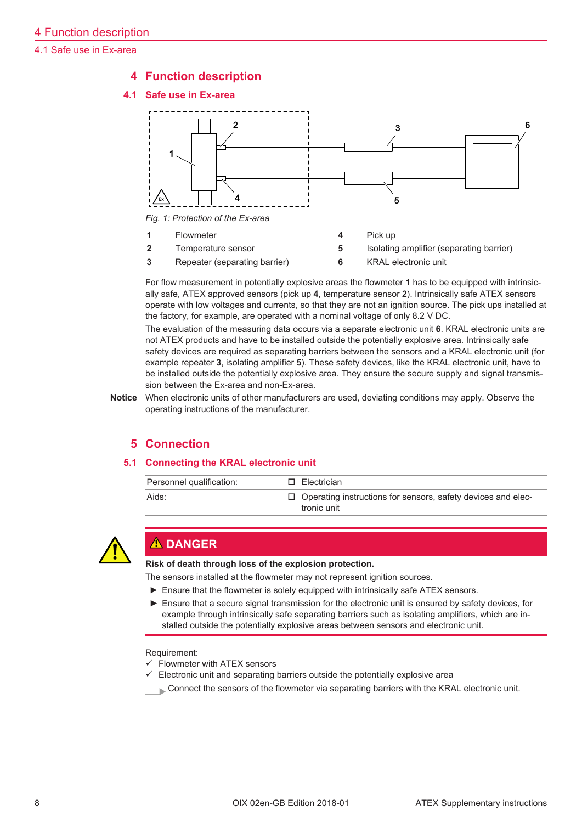4.1 Safe use in Ex-area

# **4 Function description**





**2** Temperature sensor **5** Isolating amplifier (separating barrier) **3** Repeater (separating barrier) **6** KRAL electronic unit

For flow measurement in potentially explosive areas the flowmeter **1** has to be equipped with intrinsically safe, ATEX approved sensors (pick up **4**, temperature sensor **2**). Intrinsically safe ATEX sensors operate with low voltages and currents, so that they are not an ignition source. The pick ups installed at the factory, for example, are operated with a nominal voltage of only 8.2 V DC.

The evaluation of the measuring data occurs via a separate electronic unit **6**. KRAL electronic units are not ATEX products and have to be installed outside the potentially explosive area. Intrinsically safe safety devices are required as separating barriers between the sensors and a KRAL electronic unit (for example repeater **3**, isolating amplifier **5**). These safety devices, like the KRAL electronic unit, have to be installed outside the potentially explosive area. They ensure the secure supply and signal transmission between the Ex-area and non-Ex-area.

**Notice** When electronic units of other manufacturers are used, deviating conditions may apply. Observe the operating instructions of the manufacturer.

# **5 Connection**

### **5.1 Connecting the KRAL electronic unit**

| Personnel qualification: | I□ Electrician                                                                     |
|--------------------------|------------------------------------------------------------------------------------|
| Aids:                    | $\Box$ Operating instructions for sensors, safety devices and elec-<br>tronic unit |



# **A DANGER**

**Risk of death through loss of the explosion protection.**

The sensors installed at the flowmeter may not represent ignition sources.

- ► Ensure that the flowmeter is solely equipped with intrinsically safe ATEX sensors.
- ► Ensure that a secure signal transmission for the electronic unit is ensured by safety devices, for example through intrinsically safe separating barriers such as isolating amplifiers, which are installed outside the potentially explosive areas between sensors and electronic unit.

Requirement:

- $\checkmark$  Flowmeter with ATEX sensors
- Electronic unit and separating barriers outside the potentially explosive area
- Connect the sensors of the flowmeter via separating barriers with the KRAL electronic unit.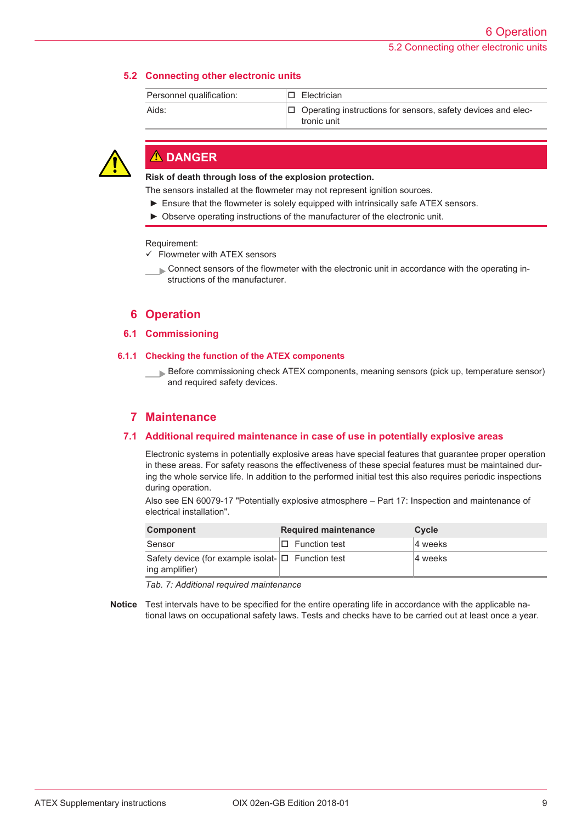# **5.2 Connecting other electronic units**

| Personnel qualification: | I⊟ Electrician                                                                     |
|--------------------------|------------------------------------------------------------------------------------|
| Aids:                    | $\Box$ Operating instructions for sensors, safety devices and elec-<br>tronic unit |



# **DANGER**

**Risk of death through loss of the explosion protection.**

The sensors installed at the flowmeter may not represent ignition sources.

- ► Ensure that the flowmeter is solely equipped with intrinsically safe ATEX sensors.
- ► Observe operating instructions of the manufacturer of the electronic unit.

Requirement:

 $\checkmark$  Flowmeter with ATEX sensors

 Connect sensors of the flowmeter with the electronic unit in accordance with the operating instructions of the manufacturer.

# **6 Operation**

#### **6.1 Commissioning**

#### **6.1.1 Checking the function of the ATEX components**

 Before commissioning check ATEX components, meaning sensors (pick up, temperature sensor) and required safety devices.

# **7 Maintenance**

### **7.1 Additional required maintenance in case of use in potentially explosive areas**

Electronic systems in potentially explosive areas have special features that guarantee proper operation in these areas. For safety reasons the effectiveness of these special features must be maintained during the whole service life. In addition to the performed initial test this also requires periodic inspections during operation.

Also see EN 60079-17 "Potentially explosive atmosphere – Part 17: Inspection and maintenance of electrical installation".

| <b>Component</b>                                                          | <b>Required maintenance</b> | <b>Cycle</b> |
|---------------------------------------------------------------------------|-----------------------------|--------------|
| Sensor                                                                    | $\Box$ Function test        | 4 weeks      |
| Safety device (for example isolat- $\Box$ Function test<br>ing amplifier) |                             | 4 weeks      |

*Tab. 7: Additional required maintenance*

**Notice** Test intervals have to be specified for the entire operating life in accordance with the applicable national laws on occupational safety laws. Tests and checks have to be carried out at least once a year.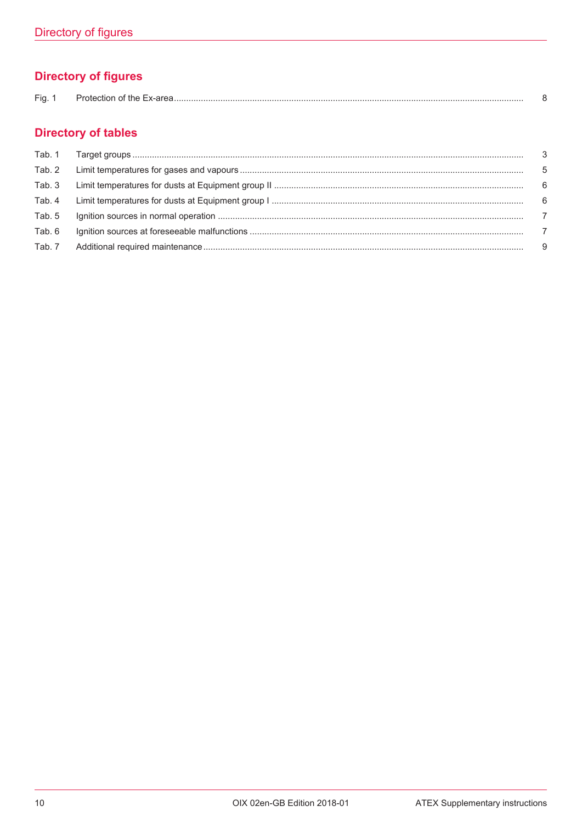# **Directory of figures**

| $- \cdot$<br>HΩ. | ,,,<br>лю |  |
|------------------|-----------|--|
|------------------|-----------|--|

# **Directory of tables**

| Tab. 2 |    |
|--------|----|
| Tab. 3 |    |
| Tab. 4 | 6  |
| Tab. 5 |    |
| Tab. 6 |    |
| Tab. 7 | -9 |